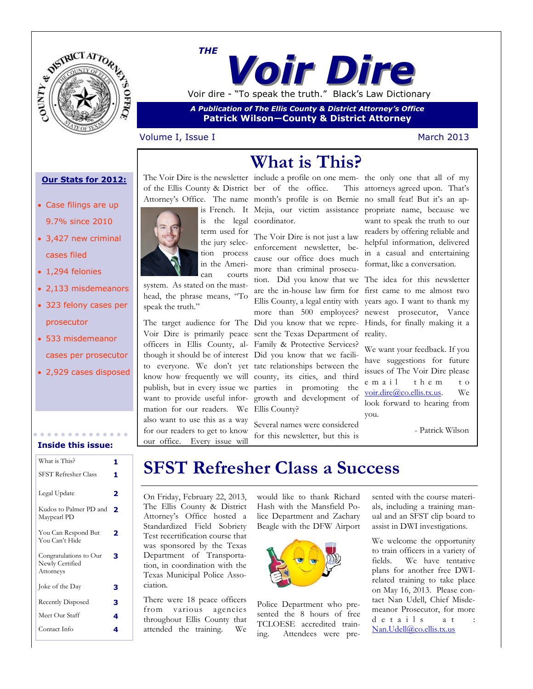

*Voir Dire THE* Voir dire - "To speak the truth." Black's Law Dictionary

*A Publication of The Ellis County & District Attorney's Office* **Patrick Wilson—County & District Attorney**

### Volume I, Issue I and The March 2013

### **Our Stats for 2012:**

- Case filings are up 9.7% since 2010
- 3,427 new criminal cases filed
- 1,294 felonies
- 2,133 misdemeanors
- 323 felony cases per prosecutor
- 533 misdemeanor cases per prosecutor
- 2,929 cases disposed

**Inside this issue:**

| What is This?                                          | 1 |
|--------------------------------------------------------|---|
| <b>SFST Refresher Class</b>                            | 1 |
| Legal Update                                           | 2 |
| Kudos to Palmer PD and<br>Maypearl PD                  | 2 |
| You Can Respond But<br>You Can't Hide                  | 2 |
| Congratulations to Our<br>Newly Certified<br>Attorneys | з |
| Joke of the Day                                        | з |
| Recently Disposed                                      | з |
| Meet Our Staff                                         | 4 |
| Contact Info                                           | 4 |



system. As stated on the masthead, the phrase means, "To speak the truth."

Voir Dire is primarily peace sent the Texas Department of officers in Ellis County, al-Family & Protective Services? though it should be of interest Did you know that we facilito everyone. We don't yet tate relationships between the know how frequently we will county, its cities, and third publish, but in every issue we parties in promoting the want to provide useful infor-growth and development of mation for our readers. We Ellis County? also want to use this as a way for our readers to get to know our office. Every issue will

of the Ellis County & District ber of the office. This Attorney's Office. The name month's profile is on Bernie no small feat! But it's an apis French. It Mejia, our victim assistance propriate name, because we is the legal coordinator.

**What is This?**

term used for The Voir Dire is not just a law enforcement newsletter, because our office does much more than criminal prosecu-

> Several names were considered for this newsletter, but this is

The Voir Dire is the newsletter include a profile on one mem-the only one that all of my This attorneys agreed upon. That's want to speak the truth to our readers by offering reliable and helpful information, delivered in a casual and entertaining format, like a conversation.

The target audience for The Did you know that we repre-Hinds, for finally making it a tion. Did you know that we The idea for this newsletter are the in-house law firm for first came to me almost two Ellis County, a legal entity with years ago. I want to thank my more than 500 employees? newest prosecutor, Vance reality.

> We want your feedback. If you have suggestions for future issues of The Voir Dire please e mail them to [voir.dire@co.ellis.tx.us.](mailto:voir.dire@co.ellis.tx.us?subject=The%20Voir%20Dire) We look forward to hearing from you.

> > - Patrick Wilson

### **SFST Refresher Class a Success**

On Friday, February 22, 2013, The Ellis County & District Attorney's Office hosted a Standardized Field Sobriety Test recertification course that was sponsored by the Texas Department of Transportation, in coordination with the Texas Municipal Police Association.

There were 18 peace officers from various agencies throughout Ellis County that attended the training. We

would like to thank Richard Hash with the Mansfield Police Department and Zachary Beagle with the DFW Airport



Police Department who presented the 8 hours of free TCLOESE accredited training. Attendees were pre-

sented with the course materials, including a training manual and an SFST clip board to assist in DWI investigations.

We welcome the opportunity to train officers in a variety of fields. We have tentative plans for another free DWIrelated training to take place on May 16, 2013. Please contact Nan Udell, Chief Misdemeanor Prosecutor, for more d e t a i l s a t : [Nan.Udell@co.ellis.tx.us](mailto:nan.udell@co.ellis.tx.us?subject=DWI%20Training%20Info)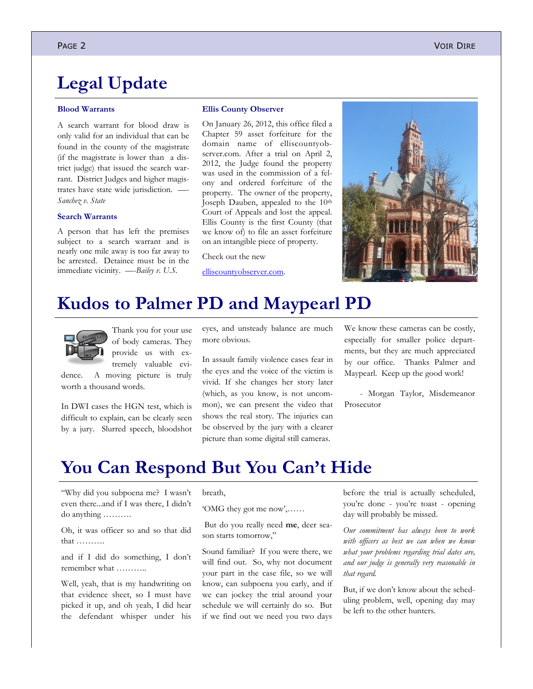## **Legal Update**

#### **Blood Warrants**

A search warrant for blood draw is only valid for an individual that can be found in the county of the magistrate (if the magistrate is lower than a district judge) that issued the search warrant. District Judges and higher magistrates have state wide jurisdiction. *Sanchez v. State*

### **Search Warrants**

A person that has left the premises subject to a search warrant and is nearly one mile away is too far away to be arrested. Detainee must be in the immediate vicinity. *—-Bailey v. U.S.* 

#### **Ellis County Observer**

On January 26, 2012, this office filed a Chapter 59 asset forfeiture for the domain name of elliscountyobserver.com. After a trial on April 2, 2012, the Judge found the property was used in the commission of a felony and ordered forfeiture of the property. The owner of the property, Joseph Dauben, appealed to the 10<sup>th</sup> Court of Appeals and lost the appeal. Ellis County is the first County (that we know of) to file an asset forfeiture on an intangible piece of property.

Check out the new

[elliscountyobserver.com.](http://www.elliscountyobserver.com)



### **Kudos to Palmer PD and Maypearl PD**



Thank you for your use of body cameras. They provide us with extremely valuable evi-

dence. A moving picture is truly worth a thousand words.

In DWI cases the HGN test, which is difficult to explain, can be clearly seen by a jury. Slurred speech, bloodshot eyes, and unsteady balance are much more obvious.

In assault family violence cases fear in the eyes and the voice of the victim is vivid. If she changes her story later (which, as you know, is not uncommon), we can present the video that shows the real story. The injuries can be observed by the jury with a clearer picture than some digital still cameras.

We know these cameras can be costly, especially for smaller police departments, but they are much appreciated by our office. Thanks Palmer and Maypearl. Keep up the good work!

- Morgan Taylor, Misdemeanor Prosecutor

### **You Can Respond But You Can't Hide**

"Why did you subpoena me? I wasn't even there...and if I was there, I didn't do anything ……….

Oh, it was officer so and so that did that ……….

and if I did do something, I don't remember what ………..

Well, yeah, that is my handwriting on that evidence sheet, so I must have picked it up, and oh yeah, I did hear the defendant whisper under his breath,

'OMG they got me now',……

But do you really need **me**, deer season starts tomorrow,"

Sound familiar? If you were there, we will find out. So, why not document your part in the case file, so we will know, can subpoena you early, and if we can jockey the trial around your schedule we will certainly do so. But if we find out we need you two days

before the trial is actually scheduled, you're done - you're toast - opening day will probably be missed.

*Our commitment has always been to work with officers as best we can when we know what your problems regarding trial dates are, and our judge is generally very reasonable in that regard.* 

But, if we don't know about the scheduling problem, well, opening day may be left to the other hunters.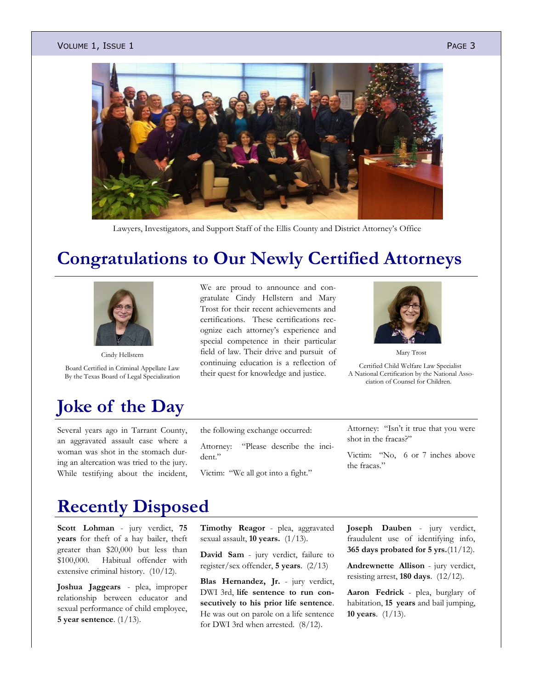#### Volume 1, Issue 1  $P_{A}$  Page 3  $P_{A}$



Lawyers, Investigators, and Support Staff of the Ellis County and District Attorney's Office

# **Congratulations to Our Newly Certified Attorneys**



Cindy Hellstern

Board Certified in Criminal Appellate Law By the Texas Board of Legal Specialization

# **Joke of the Day**

Several years ago in Tarrant County, an aggravated assault case where a woman was shot in the stomach during an altercation was tried to the jury. While testifying about the incident, We are proud to announce and congratulate Cindy Hellstern and Mary Trost for their recent achievements and certifications. These certifications recognize each attorney's experience and special competence in their particular field of law. Their drive and pursuit of continuing education is a reflection of their quest for knowledge and justice.



Mary Trost

Certified Child Welfare Law Specialist A National Certification by the National Association of Counsel for Children.

the following exchange occurred:

Attorney: "Please describe the incident."

Victim: "We all got into a fight."

Attorney: "Isn't it true that you were shot in the fracas?"

Victim: "No, 6 or 7 inches above the fracas."

# **Recently Disposed**

**Scott Lohman** - jury verdict, **75 years** for theft of a hay bailer, theft greater than \$20,000 but less than \$100,000. Habitual offender with extensive criminal history. (10/12).

**Joshua Jaggears** - plea, improper relationship between educator and sexual performance of child employee, **5 year sentence**. (1/13).

**Timothy Reagor** - plea, aggravated sexual assault, **10 years.** (1/13).

**David Sam** - jury verdict, failure to register/sex offender, **5 years**. (2/13)

**Blas Hernandez, Jr.** - jury verdict, DWI 3rd, **life sentence to run consecutively to his prior life sentence**. He was out on parole on a life sentence for DWI 3rd when arrested. (8/12).

**Joseph Dauben** - jury verdict, fraudulent use of identifying info, **365 days probated for 5 yrs.**(11/12).

**Andrewnette Allison** - jury verdict, resisting arrest, **180 days**. (12/12).

**Aaron Fedrick** - plea, burglary of habitation, **15 years** and bail jumping, **10 years**. (1/13).